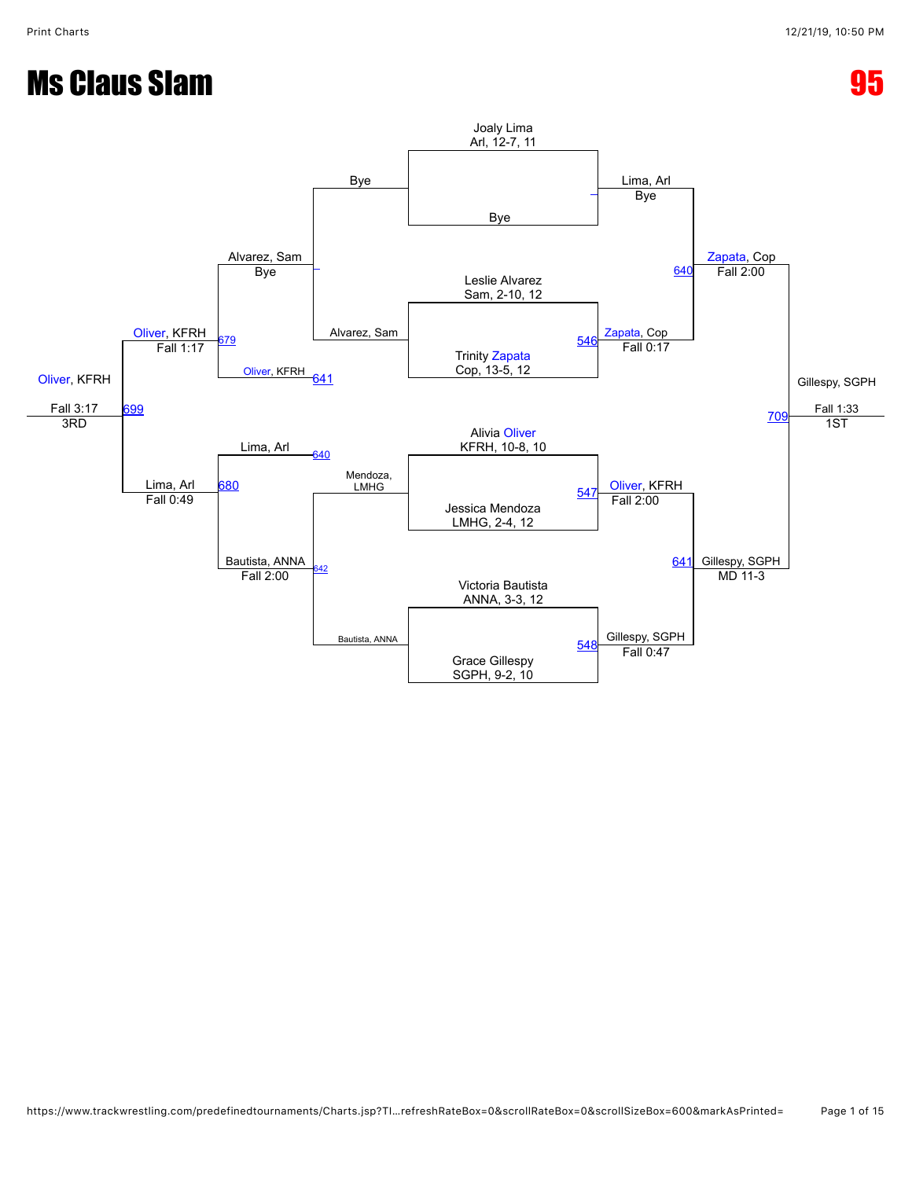# **Ms Claus Slam 85 and 2012 12:00 PMS Claus Slam**

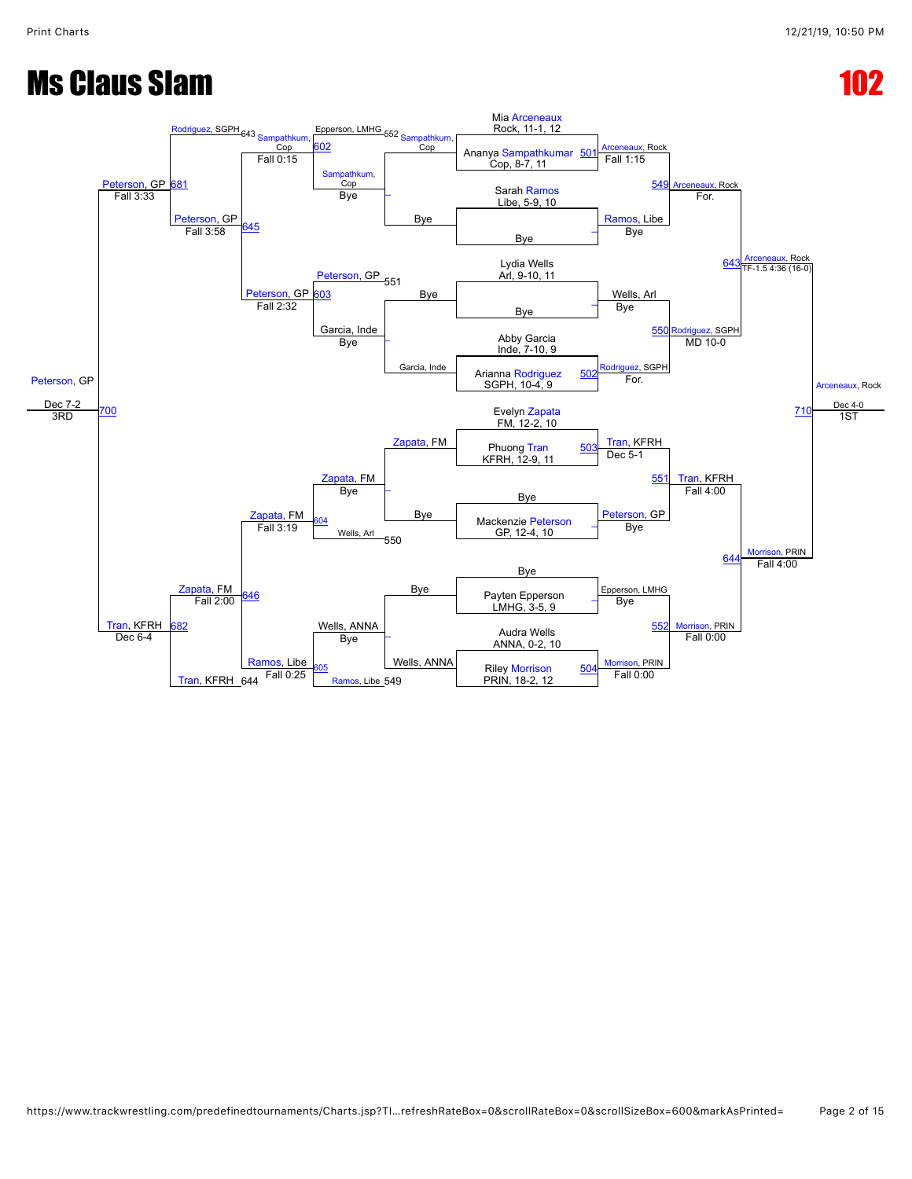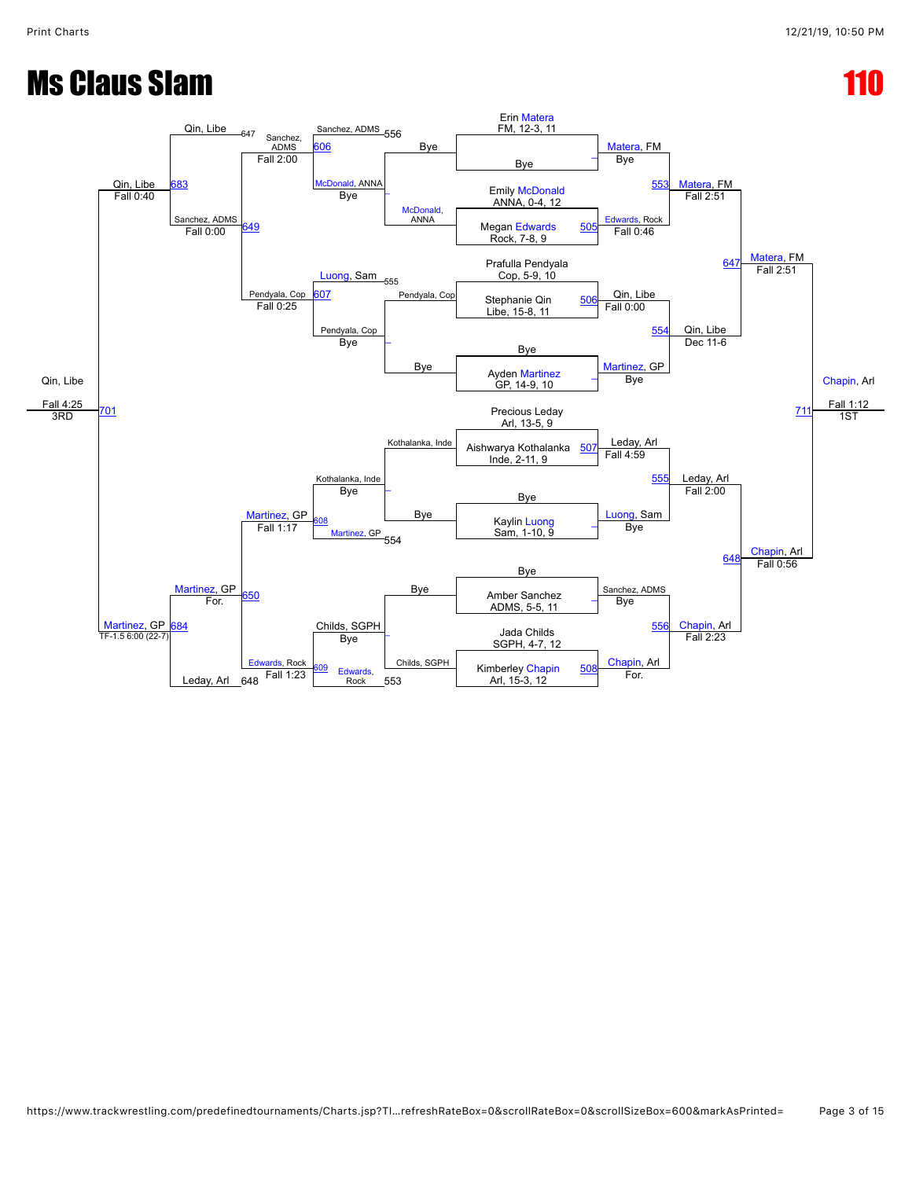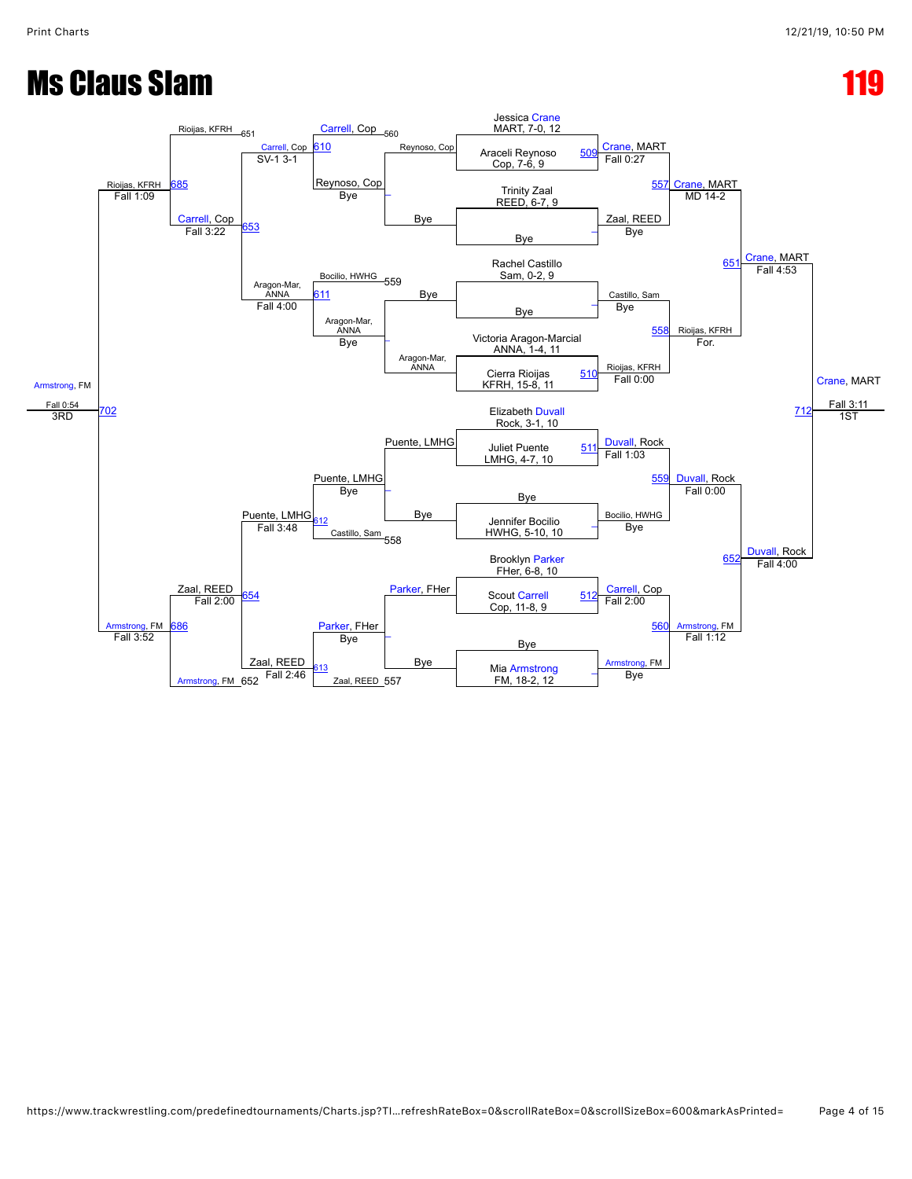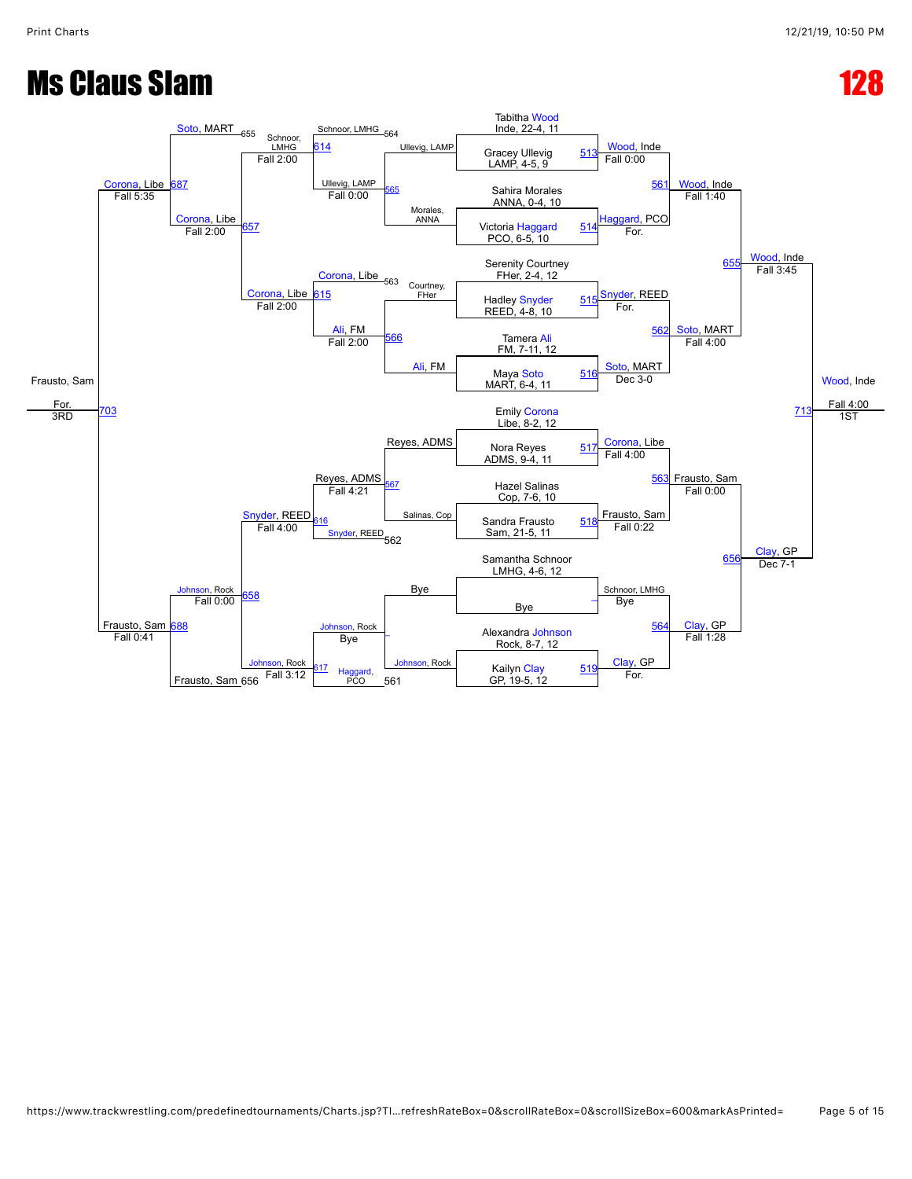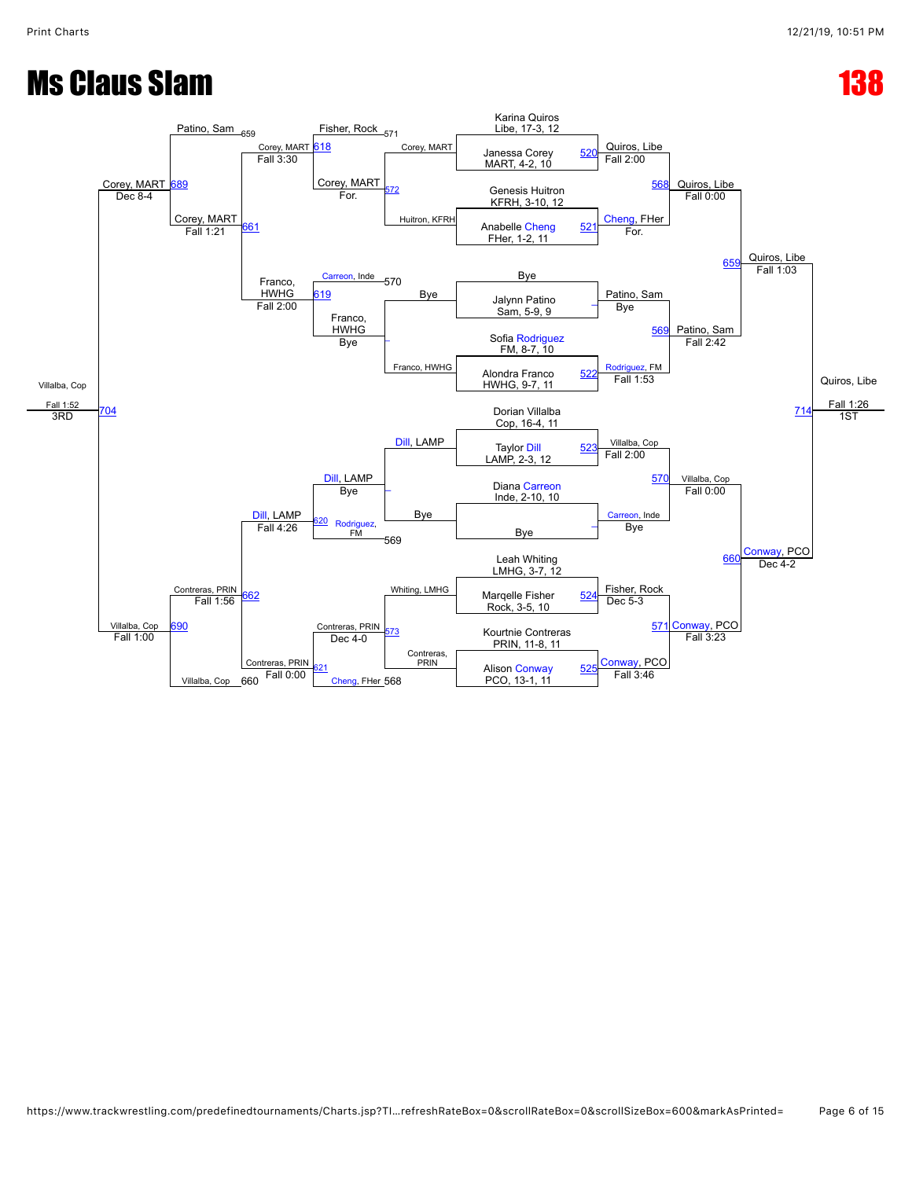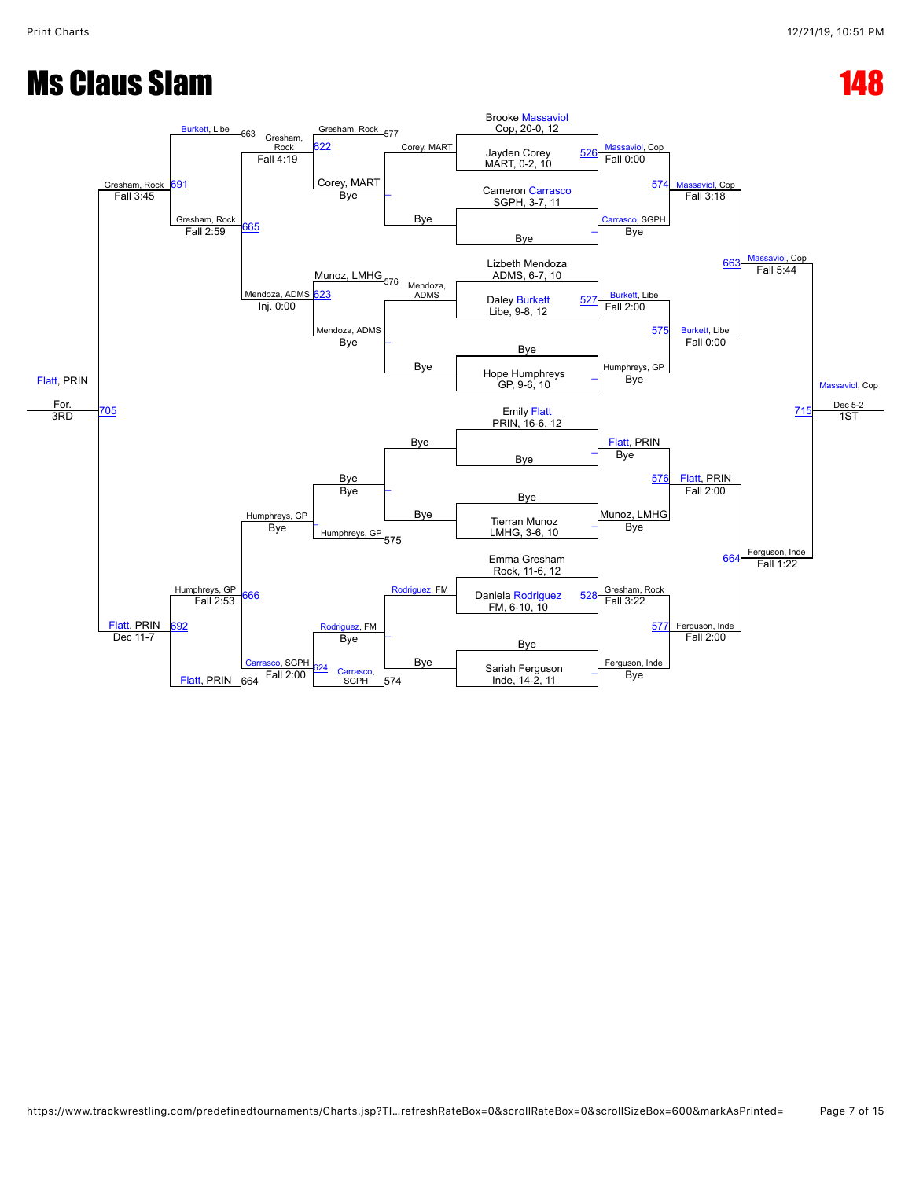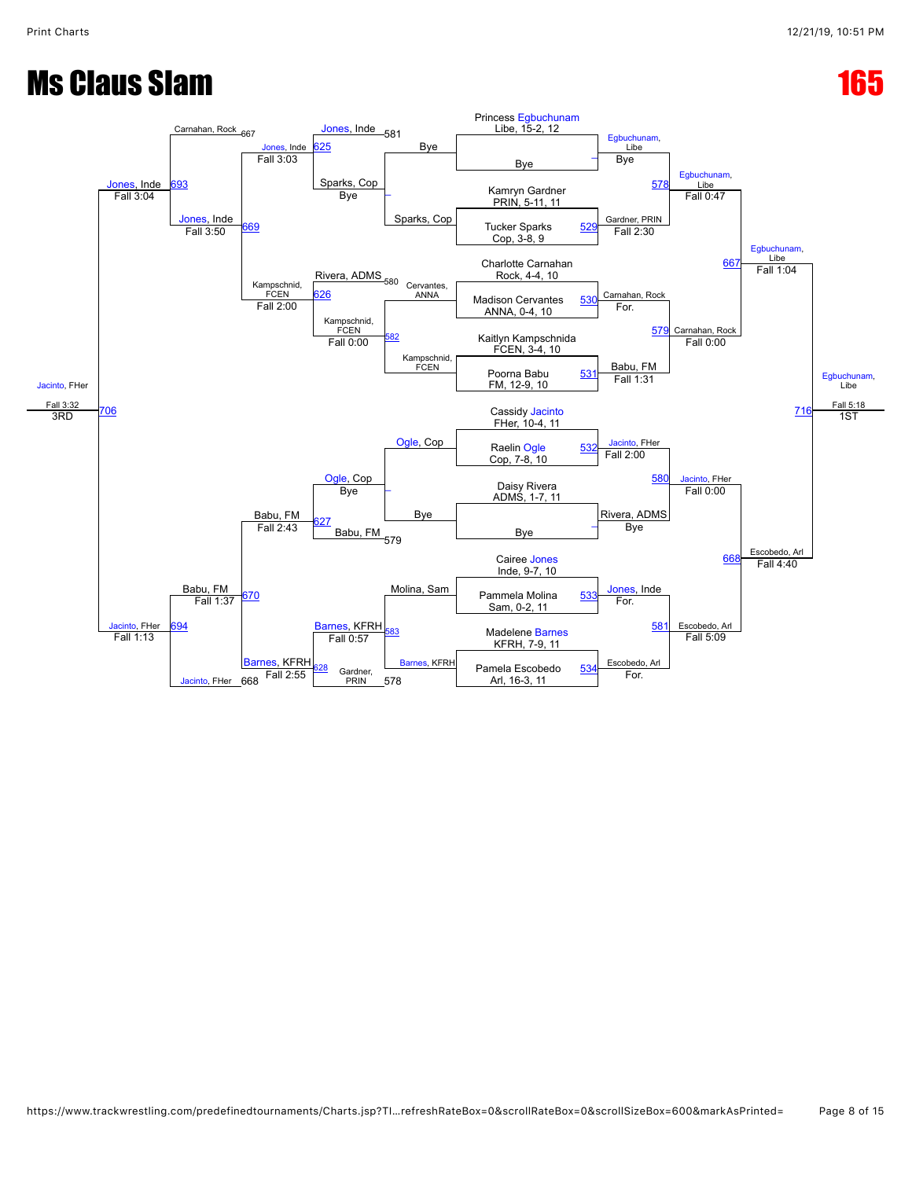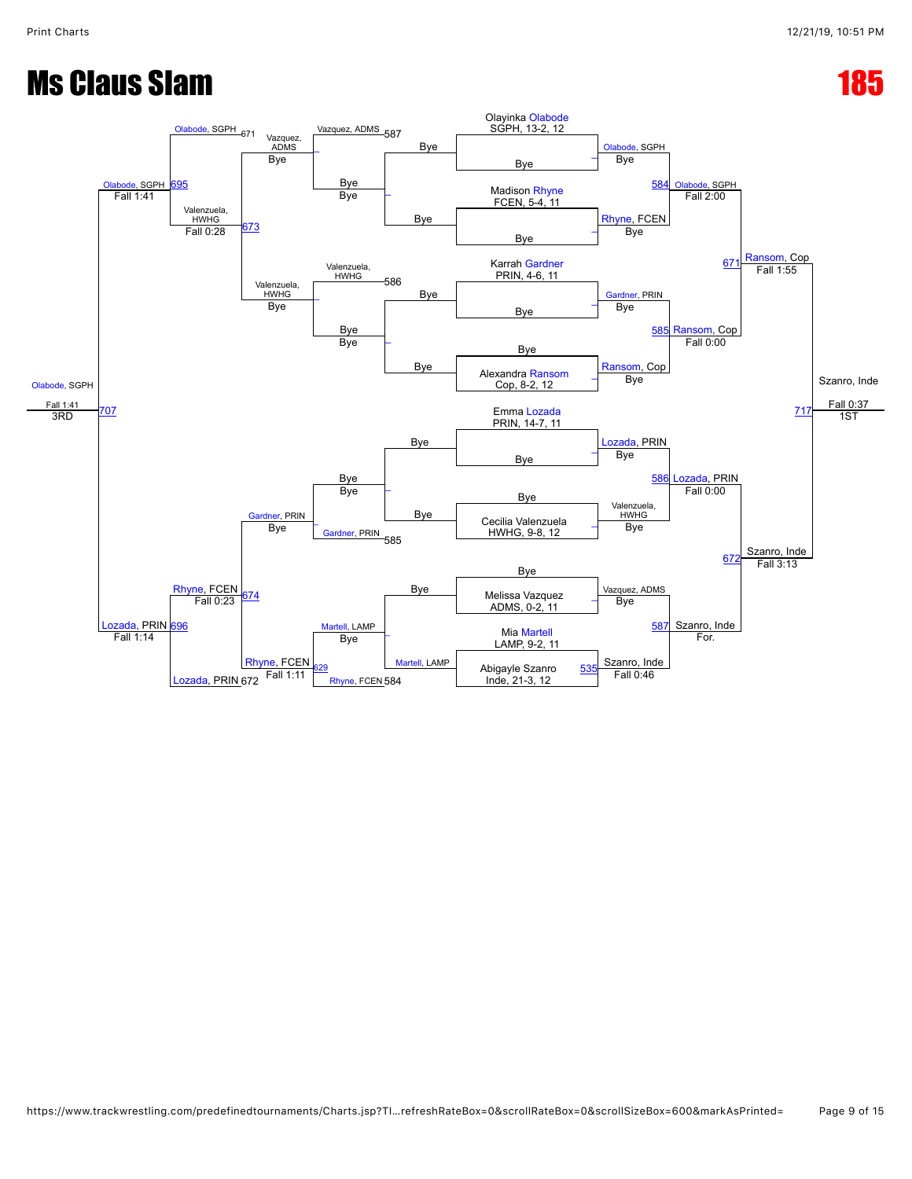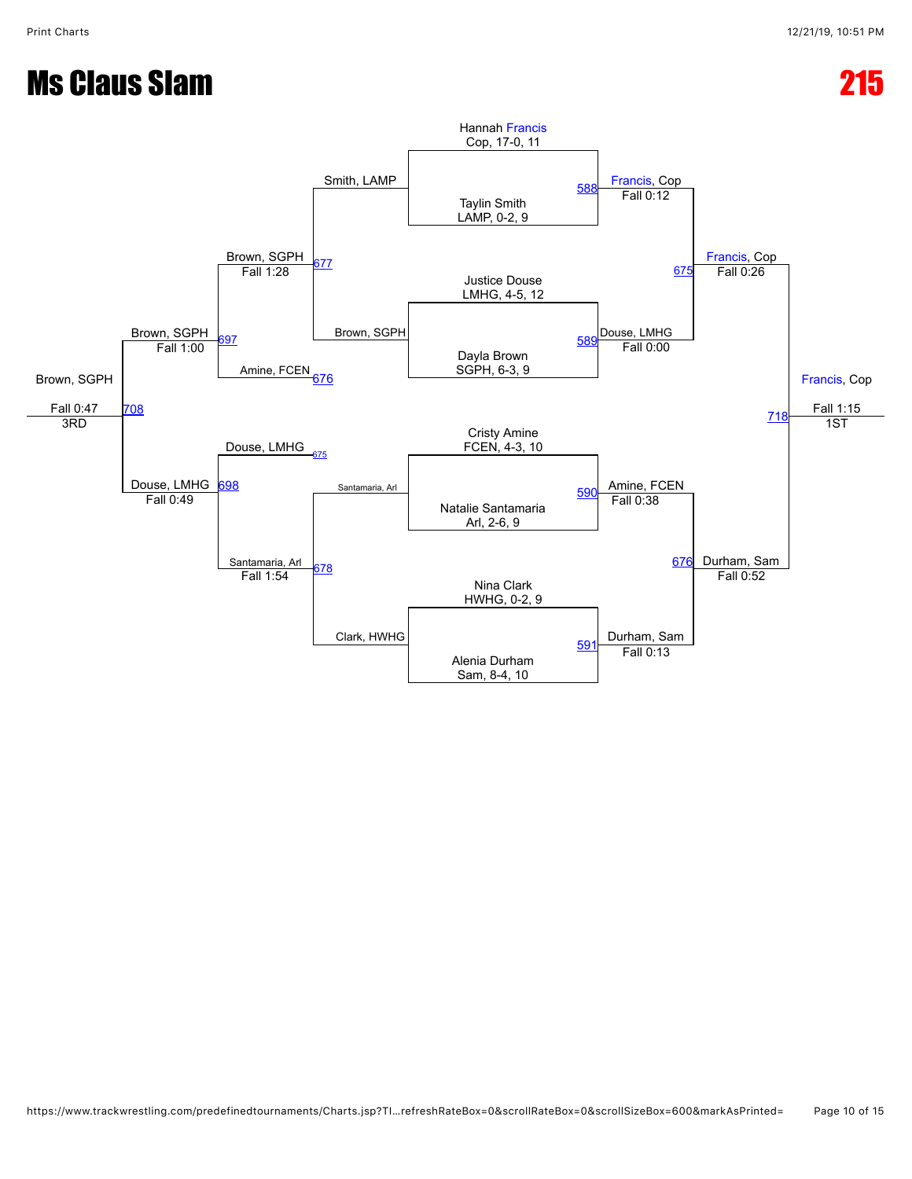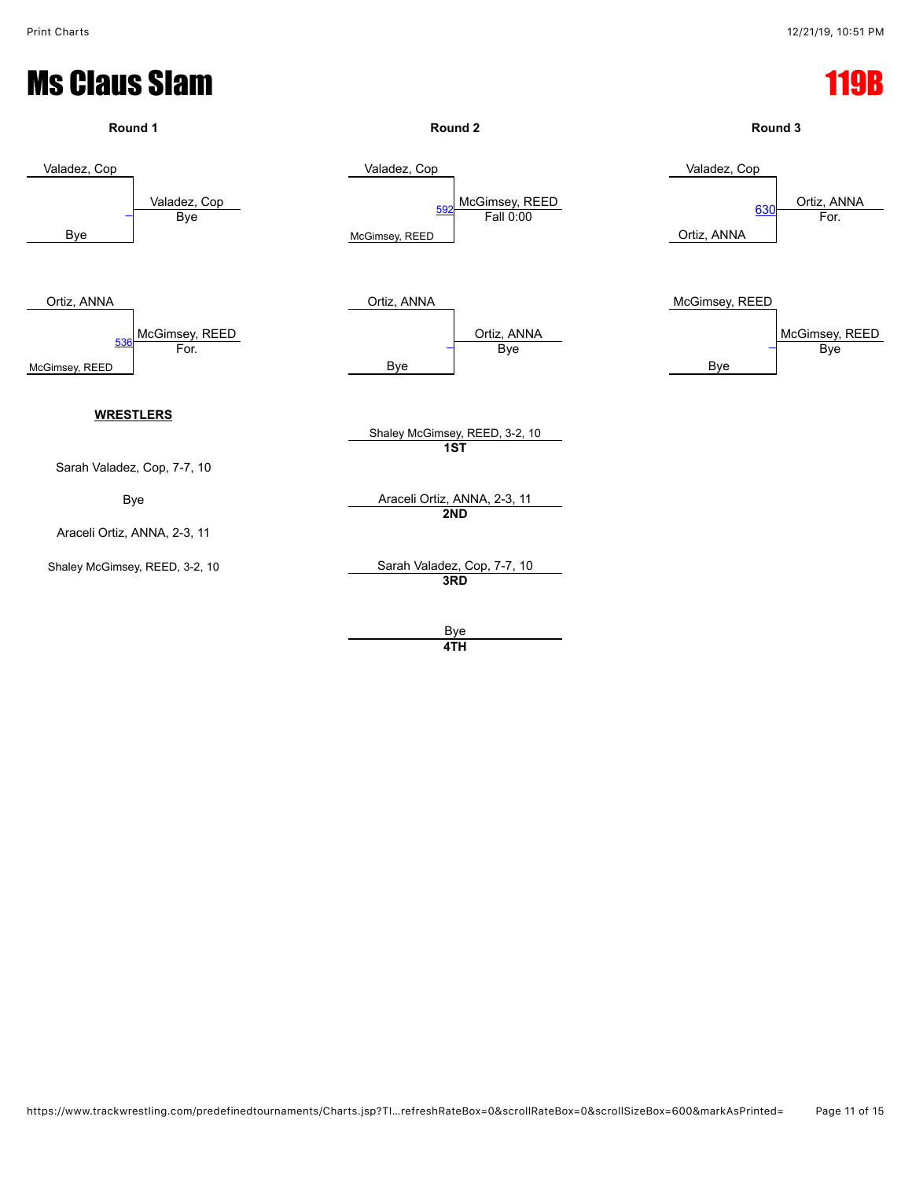

**4TH**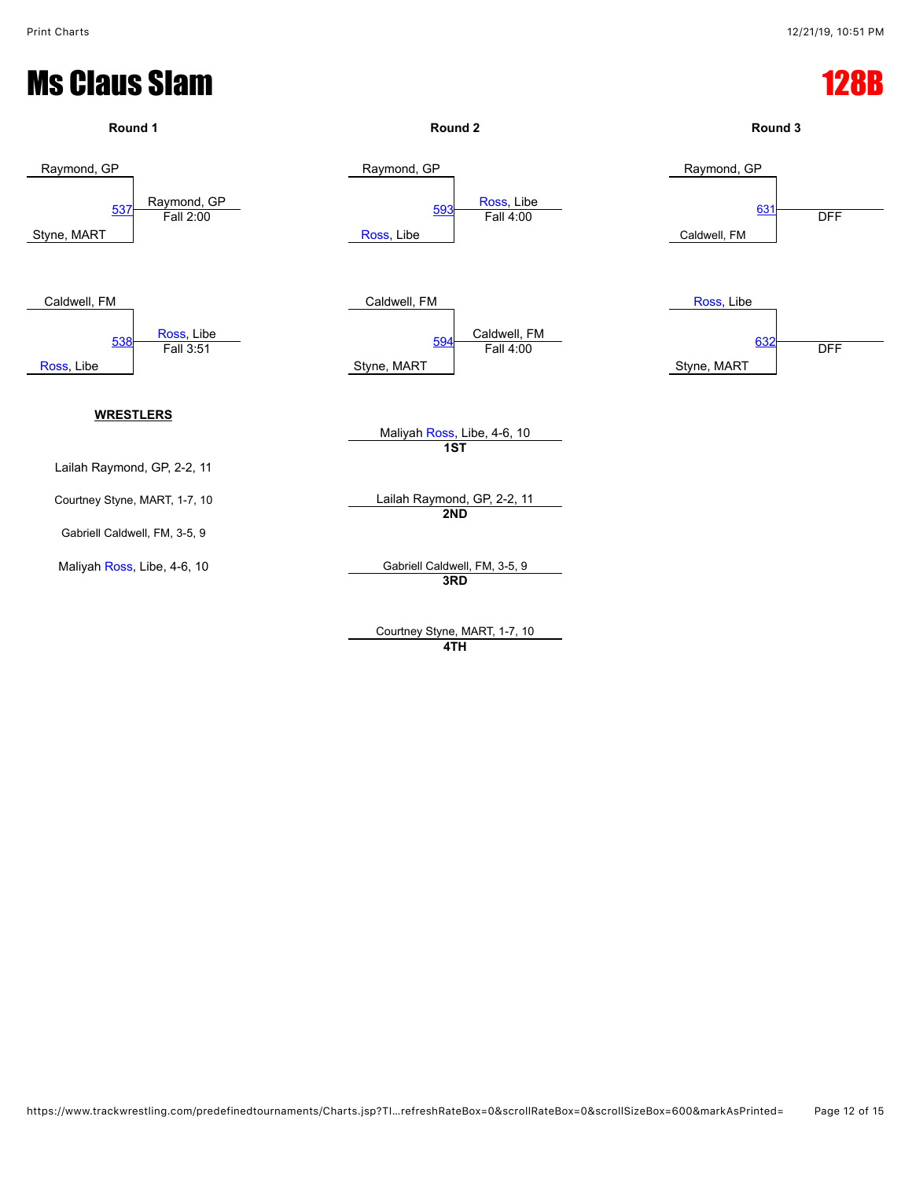

Courtney Styne, MART, 1-7, 10 **4TH**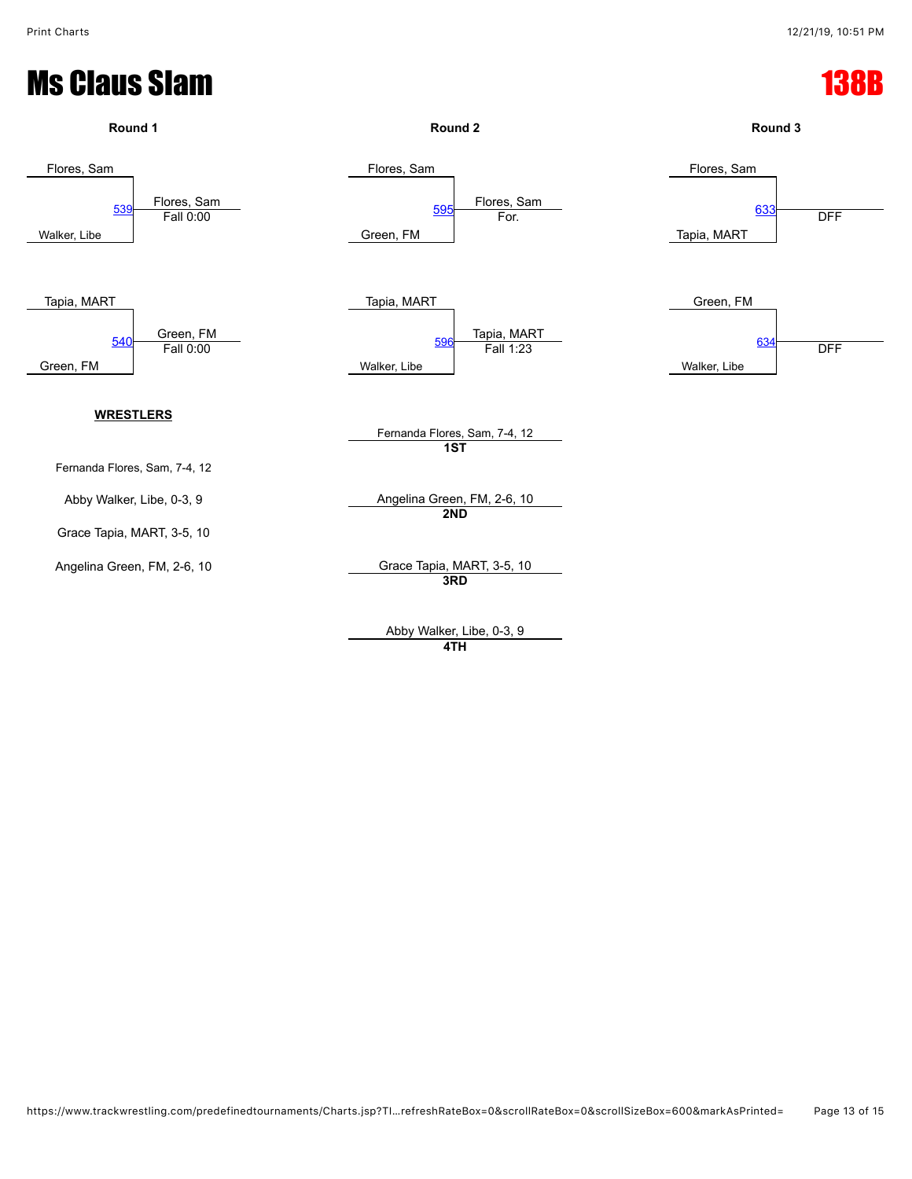

Abby Walker, Libe, 0-3, 9 **4TH**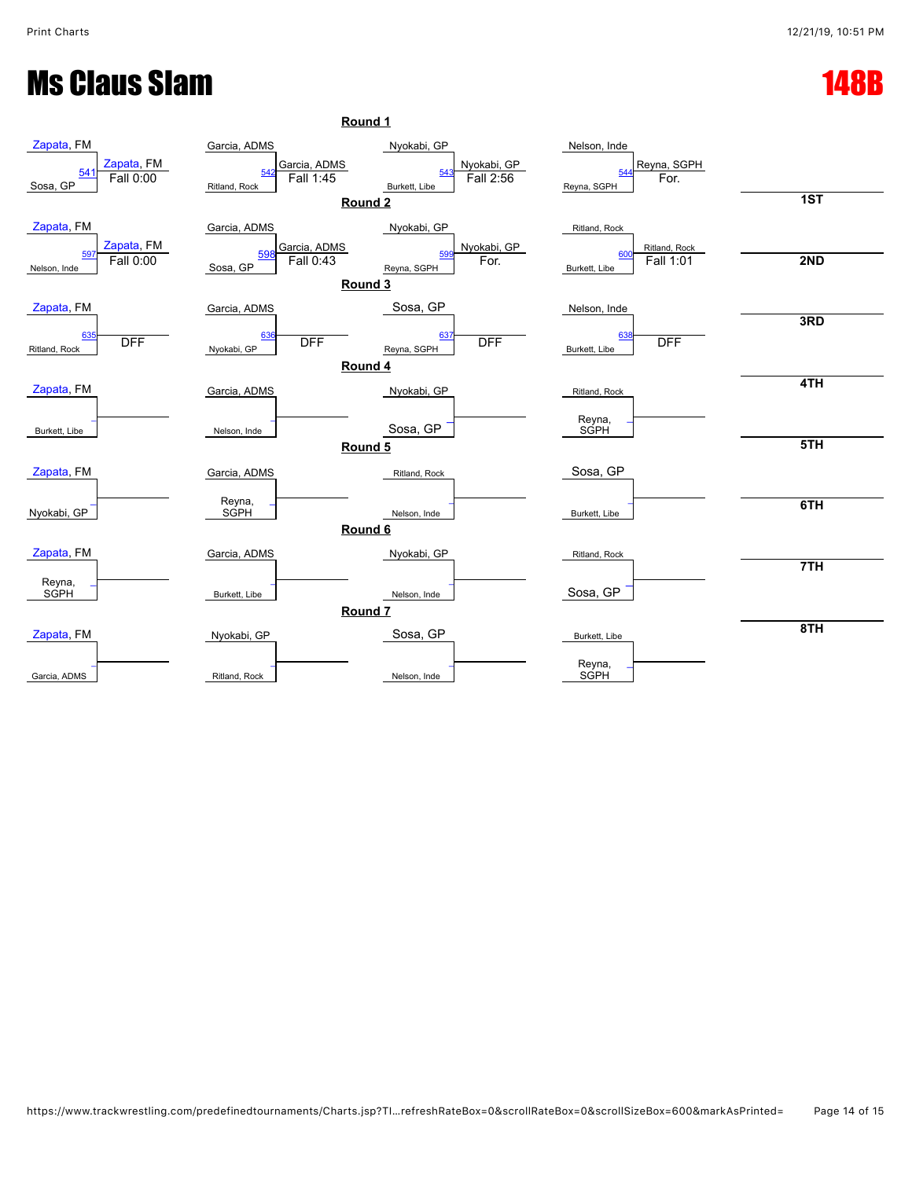